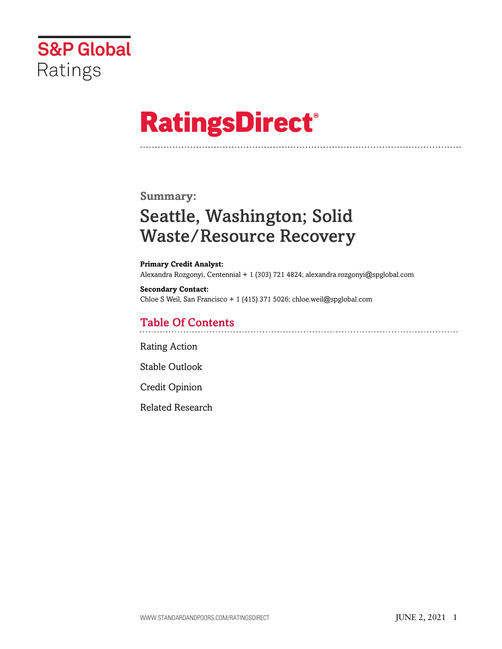

# **RatingsDirect®**

#### **Summary:**

## Seattle, Washington; Solid Waste/Resource Recovery

**Primary Credit Analyst:** Alexandra Rozgonyi, Centennial + 1 (303) 721 4824; alexandra.rozgonyi@spglobal.com

**Secondary Contact:** Chloe S Weil, San Francisco + 1 (415) 371 5026; chloe.weil@spglobal.com

#### Table Of Contents

[Rating Action](#page-1-0)

[Stable Outlook](#page-2-0)

[Credit Opinion](#page-3-0)

[Related Research](#page-3-1)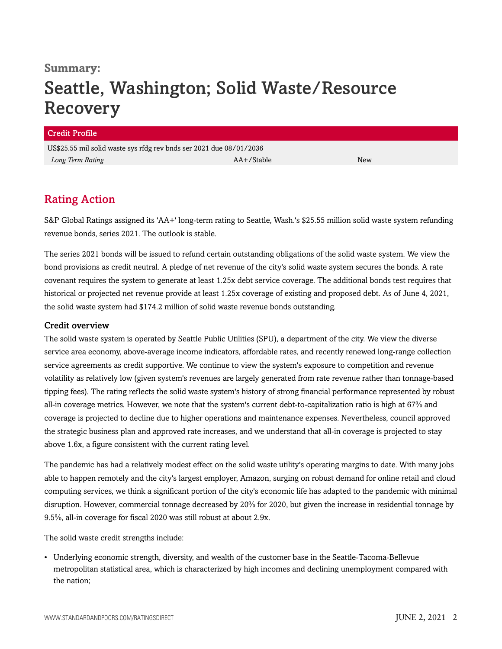### **Summary:** Seattle, Washington; Solid Waste/Resource Recovery

#### Credit Profile

US\$25.55 mil solid waste sys rfdg rev bnds ser 2021 due 08/01/2036 *Long Term Rating* New *AA+/Stable* AA+/Stable New *New* 

#### <span id="page-1-0"></span>Rating Action

S&P Global Ratings assigned its 'AA+' long-term rating to Seattle, Wash.'s \$25.55 million solid waste system refunding revenue bonds, series 2021. The outlook is stable.

The series 2021 bonds will be issued to refund certain outstanding obligations of the solid waste system. We view the bond provisions as credit neutral. A pledge of net revenue of the city's solid waste system secures the bonds. A rate covenant requires the system to generate at least 1.25x debt service coverage. The additional bonds test requires that historical or projected net revenue provide at least 1.25x coverage of existing and proposed debt. As of June 4, 2021, the solid waste system had \$174.2 million of solid waste revenue bonds outstanding.

#### Credit overview

The solid waste system is operated by Seattle Public Utilities (SPU), a department of the city. We view the diverse service area economy, above-average income indicators, affordable rates, and recently renewed long-range collection service agreements as credit supportive. We continue to view the system's exposure to competition and revenue volatility as relatively low (given system's revenues are largely generated from rate revenue rather than tonnage-based tipping fees). The rating reflects the solid waste system's history of strong financial performance represented by robust all-in coverage metrics. However, we note that the system's current debt-to-capitalization ratio is high at 67% and coverage is projected to decline due to higher operations and maintenance expenses. Nevertheless, council approved the strategic business plan and approved rate increases, and we understand that all-in coverage is projected to stay above 1.6x, a figure consistent with the current rating level.

The pandemic has had a relatively modest effect on the solid waste utility's operating margins to date. With many jobs able to happen remotely and the city's largest employer, Amazon, surging on robust demand for online retail and cloud computing services, we think a significant portion of the city's economic life has adapted to the pandemic with minimal disruption. However, commercial tonnage decreased by 20% for 2020, but given the increase in residential tonnage by 9.5%, all-in coverage for fiscal 2020 was still robust at about 2.9x.

The solid waste credit strengths include:

• Underlying economic strength, diversity, and wealth of the customer base in the Seattle-Tacoma-Bellevue metropolitan statistical area, which is characterized by high incomes and declining unemployment compared with the nation;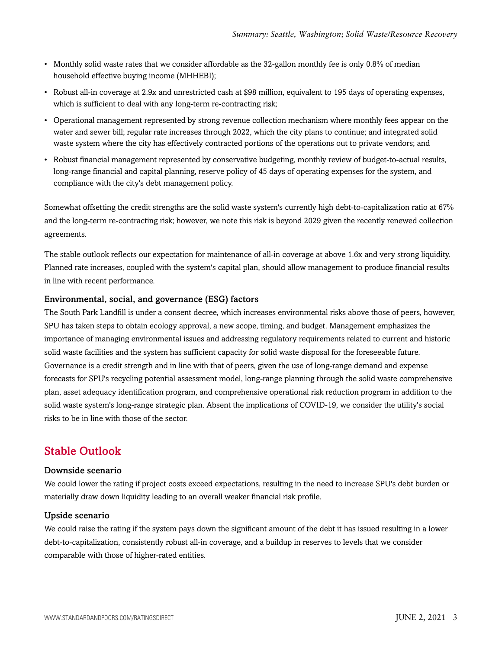- Monthly solid waste rates that we consider affordable as the 32-gallon monthly fee is only 0.8% of median household effective buying income (MHHEBI);
- Robust all-in coverage at 2.9x and unrestricted cash at \$98 million, equivalent to 195 days of operating expenses, which is sufficient to deal with any long-term re-contracting risk;
- Operational management represented by strong revenue collection mechanism where monthly fees appear on the water and sewer bill; regular rate increases through 2022, which the city plans to continue; and integrated solid waste system where the city has effectively contracted portions of the operations out to private vendors; and
- Robust financial management represented by conservative budgeting, monthly review of budget-to-actual results, long-range financial and capital planning, reserve policy of 45 days of operating expenses for the system, and compliance with the city's debt management policy.

Somewhat offsetting the credit strengths are the solid waste system's currently high debt-to-capitalization ratio at 67% and the long-term re-contracting risk; however, we note this risk is beyond 2029 given the recently renewed collection agreements.

The stable outlook reflects our expectation for maintenance of all-in coverage at above 1.6x and very strong liquidity. Planned rate increases, coupled with the system's capital plan, should allow management to produce financial results in line with recent performance.

#### Environmental, social, and governance (ESG) factors

The South Park Landfill is under a consent decree, which increases environmental risks above those of peers, however, SPU has taken steps to obtain ecology approval, a new scope, timing, and budget. Management emphasizes the importance of managing environmental issues and addressing regulatory requirements related to current and historic solid waste facilities and the system has sufficient capacity for solid waste disposal for the foreseeable future. Governance is a credit strength and in line with that of peers, given the use of long-range demand and expense forecasts for SPU's recycling potential assessment model, long-range planning through the solid waste comprehensive plan, asset adequacy identification program, and comprehensive operational risk reduction program in addition to the solid waste system's long-range strategic plan. Absent the implications of COVID-19, we consider the utility's social risks to be in line with those of the sector.

#### <span id="page-2-0"></span>Stable Outlook

#### Downside scenario

We could lower the rating if project costs exceed expectations, resulting in the need to increase SPU's debt burden or materially draw down liquidity leading to an overall weaker financial risk profile.

#### Upside scenario

We could raise the rating if the system pays down the significant amount of the debt it has issued resulting in a lower debt-to-capitalization, consistently robust all-in coverage, and a buildup in reserves to levels that we consider comparable with those of higher-rated entities.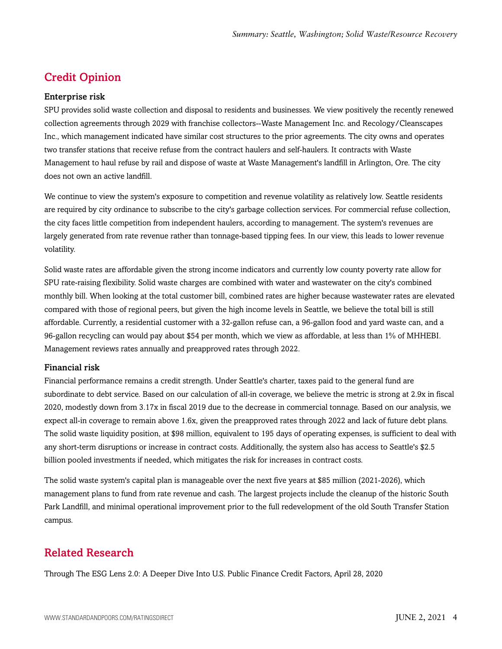### <span id="page-3-0"></span>Credit Opinion

#### Enterprise risk

SPU provides solid waste collection and disposal to residents and businesses. We view positively the recently renewed collection agreements through 2029 with franchise collectors--Waste Management Inc. and Recology/Cleanscapes Inc., which management indicated have similar cost structures to the prior agreements. The city owns and operates two transfer stations that receive refuse from the contract haulers and self-haulers. It contracts with Waste Management to haul refuse by rail and dispose of waste at Waste Management's landfill in Arlington, Ore. The city does not own an active landfill.

We continue to view the system's exposure to competition and revenue volatility as relatively low. Seattle residents are required by city ordinance to subscribe to the city's garbage collection services. For commercial refuse collection, the city faces little competition from independent haulers, according to management. The system's revenues are largely generated from rate revenue rather than tonnage-based tipping fees. In our view, this leads to lower revenue volatility.

Solid waste rates are affordable given the strong income indicators and currently low county poverty rate allow for SPU rate-raising flexibility. Solid waste charges are combined with water and wastewater on the city's combined monthly bill. When looking at the total customer bill, combined rates are higher because wastewater rates are elevated compared with those of regional peers, but given the high income levels in Seattle, we believe the total bill is still affordable. Currently, a residential customer with a 32-gallon refuse can, a 96-gallon food and yard waste can, and a 96-gallon recycling can would pay about \$54 per month, which we view as affordable, at less than 1% of MHHEBI. Management reviews rates annually and preapproved rates through 2022.

#### Financial risk

Financial performance remains a credit strength. Under Seattle's charter, taxes paid to the general fund are subordinate to debt service. Based on our calculation of all-in coverage, we believe the metric is strong at 2.9x in fiscal 2020, modestly down from 3.17x in fiscal 2019 due to the decrease in commercial tonnage. Based on our analysis, we expect all-in coverage to remain above 1.6x, given the preapproved rates through 2022 and lack of future debt plans. The solid waste liquidity position, at \$98 million, equivalent to 195 days of operating expenses, is sufficient to deal with any short-term disruptions or increase in contract costs. Additionally, the system also has access to Seattle's \$2.5 billion pooled investments if needed, which mitigates the risk for increases in contract costs.

The solid waste system's capital plan is manageable over the next five years at \$85 million (2021-2026), which management plans to fund from rate revenue and cash. The largest projects include the cleanup of the historic South Park Landfill, and minimal operational improvement prior to the full redevelopment of the old South Transfer Station campus.

#### <span id="page-3-1"></span>Related Research

Through The ESG Lens 2.0: A Deeper Dive Into U.S. Public Finance Credit Factors, April 28, 2020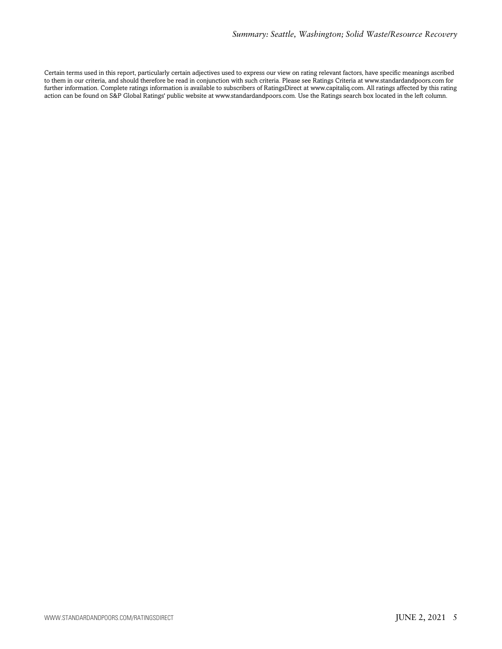Certain terms used in this report, particularly certain adjectives used to express our view on rating relevant factors, have specific meanings ascribed to them in our criteria, and should therefore be read in conjunction with such criteria. Please see Ratings Criteria at www.standardandpoors.com for further information. Complete ratings information is available to subscribers of RatingsDirect at www.capitaliq.com. All ratings affected by this rating action can be found on S&P Global Ratings' public website at www.standardandpoors.com. Use the Ratings search box located in the left column.